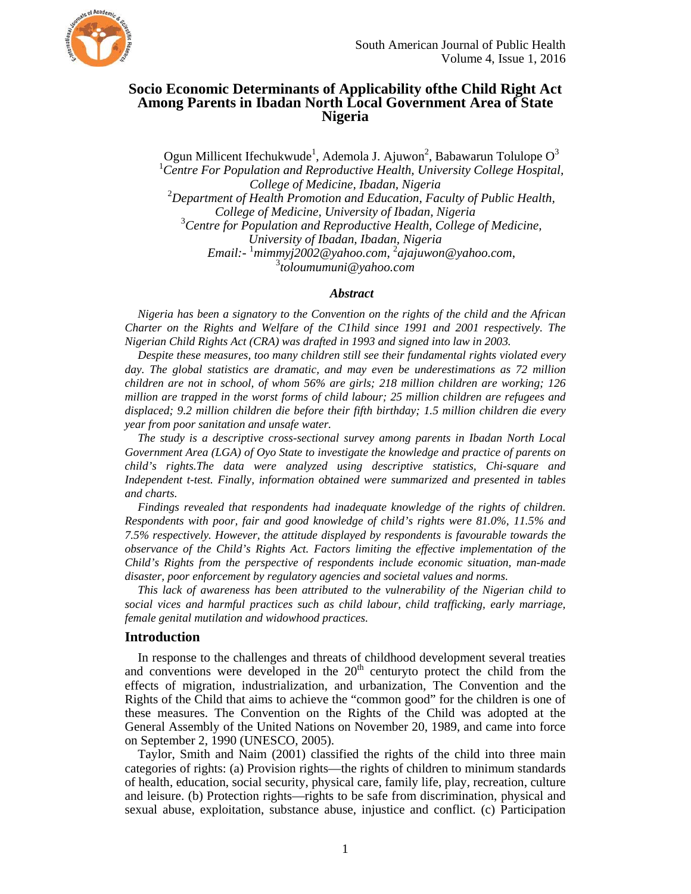

# **Socio Economic Determinants of Applicability ofthe Child Right Act Among Parents in Ibadan North Local Government Area of State Nigeria**

Ogun Millicent Ifechukwude<sup>1</sup>, Ademola J. Ajuwon<sup>2</sup>, Babawarun Tolulope O<sup>3</sup> <sup>1</sup> Centre For Population and Reproductive Health, University College Hospital,  $College$  of Medicine, Ibadan, Nigeria *Department of Health Promotion and Education, Faculty of Public Health, College of Medicine, University of Ibadan, Nigeria* <sup>3</sup> Centre for Population and Reproductive Health, College of Medicine, *University of Ibadan, Ibadan, Nigeria Email:-* <sup>1</sup> *mimmyj2002@yahoo.com*, 2 *ajajuwon@yahoo.com*, 3 *toloumumuni@yahoo.com* 

# *Abstract*

*Nigeria has been a signatory to the Convention on the rights of the child and the African Charter on the Rights and Welfare of the C1hild since 1991 and 2001 respectively. The Nigerian Child Rights Act (CRA) was drafted in 1993 and signed into law in 2003.* 

*Despite these measures, too many children still see their fundamental rights violated every day. The global statistics are dramatic, and may even be underestimations as 72 million children are not in school, of whom 56% are girls; 218 million children are working; 126 million are trapped in the worst forms of child labour; 25 million children are refugees and displaced; 9.2 million children die before their fifth birthday; 1.5 million children die every year from poor sanitation and unsafe water.* 

*The study is a descriptive cross-sectional survey among parents in Ibadan North Local Government Area (LGA) of Oyo State to investigate the knowledge and practice of parents on child's rights.The data were analyzed using descriptive statistics, Chi-square and Independent t-test. Finally, information obtained were summarized and presented in tables and charts.* 

*Findings revealed that respondents had inadequate knowledge of the rights of children. Respondents with poor, fair and good knowledge of child's rights were 81.0%, 11.5% and 7.5% respectively. However, the attitude displayed by respondents is favourable towards the observance of the Child's Rights Act. Factors limiting the effective implementation of the Child's Rights from the perspective of respondents include economic situation, man-made disaster, poor enforcement by regulatory agencies and societal values and norms.* 

*This lack of awareness has been attributed to the vulnerability of the Nigerian child to social vices and harmful practices such as child labour, child trafficking, early marriage, female genital mutilation and widowhood practices.* 

# **Introduction**

In response to the challenges and threats of childhood development several treaties and conventions were developed in the  $20<sup>th</sup>$  centuryto protect the child from the effects of migration, industrialization, and urbanization, The Convention and the Rights of the Child that aims to achieve the "common good" for the children is one of these measures. The Convention on the Rights of the Child was adopted at the General Assembly of the United Nations on November 20, 1989, and came into force on September 2, 1990 (UNESCO, 2005).

Taylor, Smith and Naim (2001) classified the rights of the child into three main categories of rights: (a) Provision rights—the rights of children to minimum standards of health, education, social security, physical care, family life, play, recreation, culture and leisure. (b) Protection rights—rights to be safe from discrimination, physical and sexual abuse, exploitation, substance abuse, injustice and conflict. (c) Participation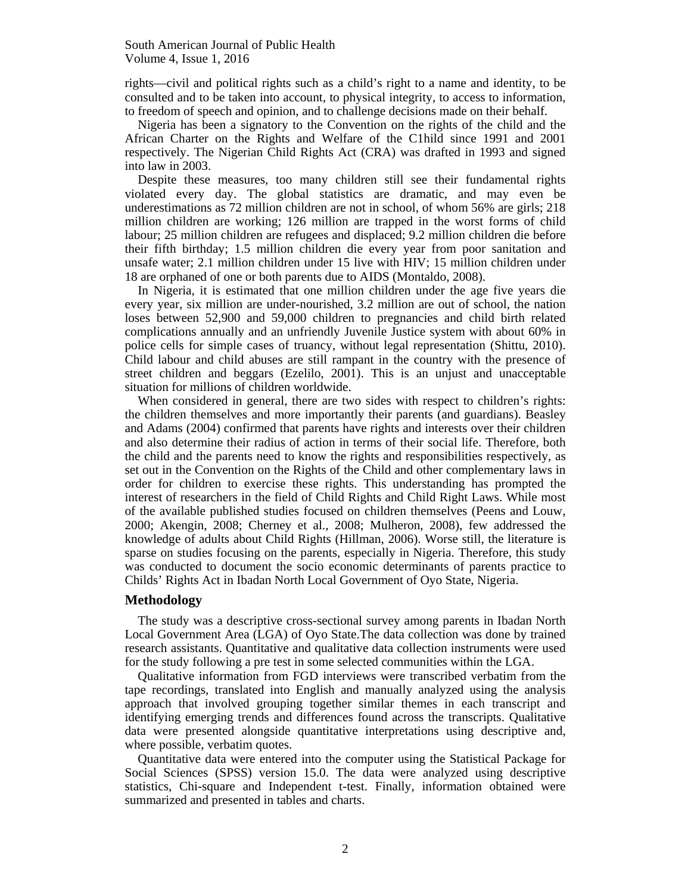rights—civil and political rights such as a child's right to a name and identity, to be consulted and to be taken into account, to physical integrity, to access to information, to freedom of speech and opinion, and to challenge decisions made on their behalf.

Nigeria has been a signatory to the Convention on the rights of the child and the African Charter on the Rights and Welfare of the C1hild since 1991 and 2001 respectively. The Nigerian Child Rights Act (CRA) was drafted in 1993 and signed into law in 2003.

Despite these measures, too many children still see their fundamental rights violated every day. The global statistics are dramatic, and may even be underestimations as 72 million children are not in school, of whom 56% are girls; 218 million children are working; 126 million are trapped in the worst forms of child labour; 25 million children are refugees and displaced; 9.2 million children die before their fifth birthday; 1.5 million children die every year from poor sanitation and unsafe water; 2.1 million children under 15 live with HIV; 15 million children under 18 are orphaned of one or both parents due to AIDS (Montaldo, 2008).

In Nigeria, it is estimated that one million children under the age five years die every year, six million are under-nourished, 3.2 million are out of school, the nation loses between 52,900 and 59,000 children to pregnancies and child birth related complications annually and an unfriendly Juvenile Justice system with about 60% in police cells for simple cases of truancy, without legal representation (Shittu, 2010). Child labour and child abuses are still rampant in the country with the presence of street children and beggars (Ezelilo, 2001). This is an unjust and unacceptable situation for millions of children worldwide.

When considered in general, there are two sides with respect to children's rights: the children themselves and more importantly their parents (and guardians). Beasley and Adams (2004) confirmed that parents have rights and interests over their children and also determine their radius of action in terms of their social life. Therefore, both the child and the parents need to know the rights and responsibilities respectively, as set out in the Convention on the Rights of the Child and other complementary laws in order for children to exercise these rights. This understanding has prompted the interest of researchers in the field of Child Rights and Child Right Laws. While most of the available published studies focused on children themselves (Peens and Louw, 2000; Akengin, 2008; Cherney et al., 2008; Mulheron, 2008), few addressed the knowledge of adults about Child Rights (Hillman, 2006). Worse still, the literature is sparse on studies focusing on the parents, especially in Nigeria. Therefore, this study was conducted to document the socio economic determinants of parents practice to Childs' Rights Act in Ibadan North Local Government of Oyo State, Nigeria.

#### **Methodology**

The study was a descriptive cross-sectional survey among parents in Ibadan North Local Government Area (LGA) of Oyo State.The data collection was done by trained research assistants. Quantitative and qualitative data collection instruments were used for the study following a pre test in some selected communities within the LGA.

Qualitative information from FGD interviews were transcribed verbatim from the tape recordings, translated into English and manually analyzed using the analysis approach that involved grouping together similar themes in each transcript and identifying emerging trends and differences found across the transcripts. Qualitative data were presented alongside quantitative interpretations using descriptive and, where possible, verbatim quotes.

Quantitative data were entered into the computer using the Statistical Package for Social Sciences (SPSS) version 15.0. The data were analyzed using descriptive statistics, Chi-square and Independent t-test. Finally, information obtained were summarized and presented in tables and charts.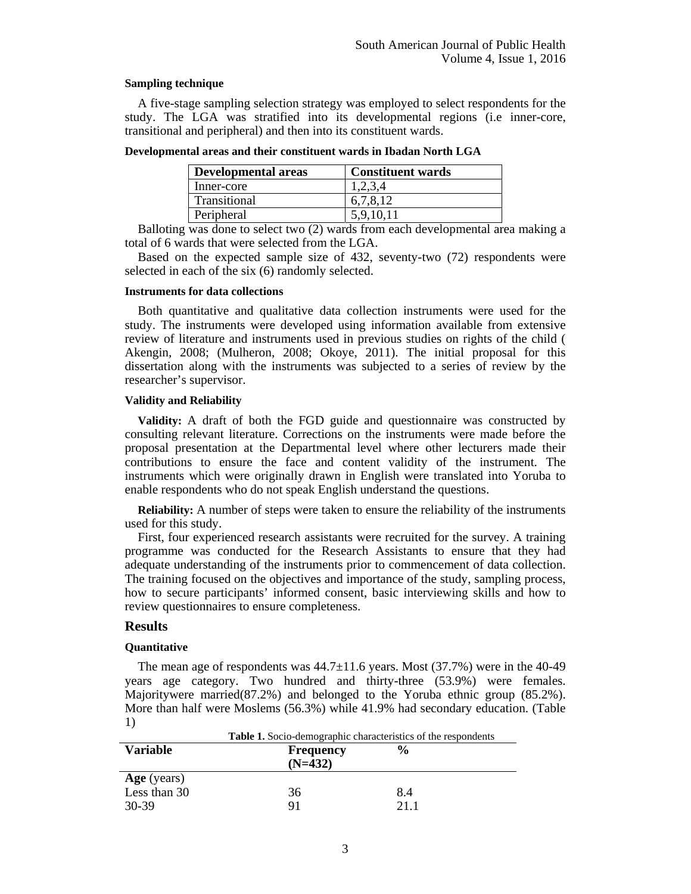### **Sampling technique**

A five-stage sampling selection strategy was employed to select respondents for the study. The LGA was stratified into its developmental regions (i.e inner-core, transitional and peripheral) and then into its constituent wards.

**Developmental areas and their constituent wards in Ibadan North LGA** 

| <b>Developmental areas</b> | <b>Constituent wards</b> |
|----------------------------|--------------------------|
| Inner-core                 | 1,2,3,4                  |
| Transitional               | 6,7,8,12                 |
| Peripheral                 | 5.9.10.11                |

Balloting was done to select two (2) wards from each developmental area making a total of 6 wards that were selected from the LGA.

Based on the expected sample size of 432, seventy-two (72) respondents were selected in each of the six (6) randomly selected.

### **Instruments for data collections**

Both quantitative and qualitative data collection instruments were used for the study. The instruments were developed using information available from extensive review of literature and instruments used in previous studies on rights of the child ( Akengin, 2008; (Mulheron, 2008; Okoye, 2011). The initial proposal for this dissertation along with the instruments was subjected to a series of review by the researcher's supervisor.

### **Validity and Reliability**

**Validity:** A draft of both the FGD guide and questionnaire was constructed by consulting relevant literature. Corrections on the instruments were made before the proposal presentation at the Departmental level where other lecturers made their contributions to ensure the face and content validity of the instrument. The instruments which were originally drawn in English were translated into Yoruba to enable respondents who do not speak English understand the questions.

**Reliability:** A number of steps were taken to ensure the reliability of the instruments used for this study.

First, four experienced research assistants were recruited for the survey. A training programme was conducted for the Research Assistants to ensure that they had adequate understanding of the instruments prior to commencement of data collection. The training focused on the objectives and importance of the study, sampling process, how to secure participants' informed consent, basic interviewing skills and how to review questionnaires to ensure completeness.

# **Results**

# **Quantitative**

The mean age of respondents was  $44.7\pm11.6$  years. Most (37.7%) were in the 40-49 years age category. Two hundred and thirty-three (53.9%) were females. Majoritywere married(87.2%) and belonged to the Yoruba ethnic group (85.2%). More than half were Moslems (56.3%) while 41.9% had secondary education. (Table 1) **Table 1.** Socio-demographic characteristics of the respondents

|                 | <b>Table 1.</b> Socio-demographic characteristics of the respondents |               |  |  |
|-----------------|----------------------------------------------------------------------|---------------|--|--|
| <b>Variable</b> | <b>Frequency</b><br>$(N=432)$                                        | $\frac{0}{0}$ |  |  |
| Age (years)     |                                                                      |               |  |  |
| Less than 30    | 36                                                                   | 8.4           |  |  |
| 30-39           | 91                                                                   | 21 1          |  |  |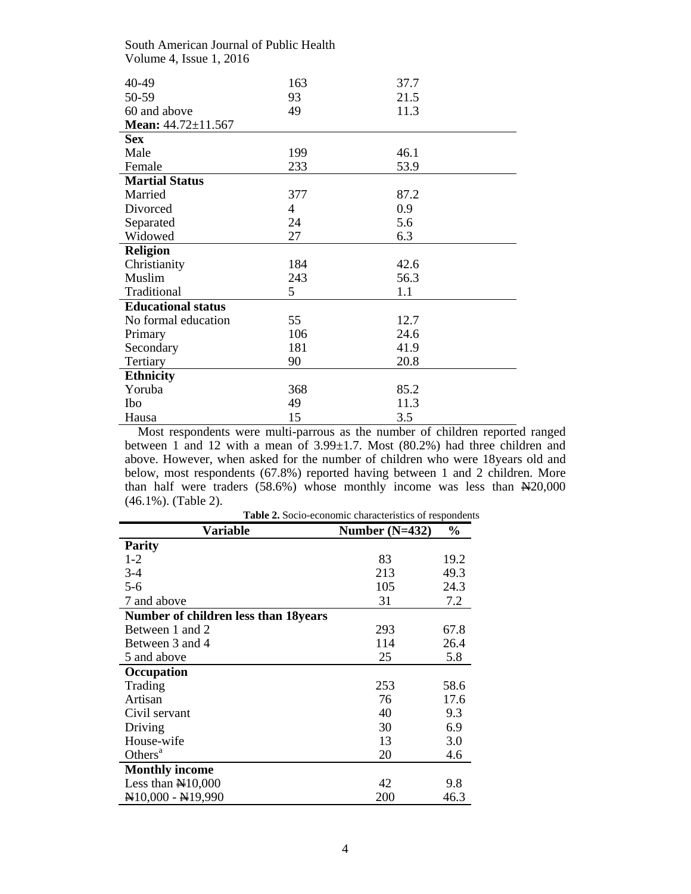| South American Journal of Public Health |                |      |  |  |
|-----------------------------------------|----------------|------|--|--|
| Volume 4, Issue 1, 2016                 |                |      |  |  |
|                                         |                |      |  |  |
| 40-49                                   | 163            | 37.7 |  |  |
| 50-59                                   | 93             | 21.5 |  |  |
| 60 and above                            | 49             | 11.3 |  |  |
| Mean: $44.72 \pm 11.567$                |                |      |  |  |
| <b>Sex</b>                              |                |      |  |  |
| Male                                    | 199            | 46.1 |  |  |
| Female                                  | 233            | 53.9 |  |  |
| <b>Martial Status</b>                   |                |      |  |  |
| Married                                 | 377            | 87.2 |  |  |
| Divorced                                | $\overline{4}$ | 0.9  |  |  |
| Separated                               | 24             | 5.6  |  |  |
| Widowed                                 | 27             | 6.3  |  |  |
| <b>Religion</b>                         |                |      |  |  |
| Christianity                            | 184            | 42.6 |  |  |
| Muslim                                  | 243            | 56.3 |  |  |
| Traditional                             | 5              | 1.1  |  |  |
| <b>Educational status</b>               |                |      |  |  |
| No formal education                     | 55             | 12.7 |  |  |
| Primary                                 | 106            | 24.6 |  |  |
| Secondary                               | 181            | 41.9 |  |  |
| Tertiary                                | 90             | 20.8 |  |  |
| <b>Ethnicity</b>                        |                |      |  |  |
| Yoruba                                  | 368            | 85.2 |  |  |
| Ibo                                     | 49             | 11.3 |  |  |
| Hausa                                   | 15             | 3.5  |  |  |

Most respondents were multi-parrous as the number of children reported ranged between 1 and 12 with a mean of 3.99±1.7. Most (80.2%) had three children and above. However, when asked for the number of children who were 18years old and below, most respondents (67.8%) reported having between 1 and 2 children. More than half were traders  $(58.6%)$  whose monthly income was less than  $\mathbb{H}20,000$ (46.1%). (Table 2).

| <b>Table 2.</b> Socio-economic characteristics of respondents |                  |      |  |
|---------------------------------------------------------------|------------------|------|--|
| <b>Variable</b>                                               | Number $(N=432)$ | $\%$ |  |
| <b>Parity</b>                                                 |                  |      |  |
| $1 - 2$                                                       | 83               | 19.2 |  |
| $3 - 4$                                                       | 213              | 49.3 |  |
| $5 - 6$                                                       | 105              | 24.3 |  |
| 7 and above                                                   | 31               | 7.2  |  |
| <b>Number of children less than 18years</b>                   |                  |      |  |
| Between 1 and 2                                               | 293              | 67.8 |  |
| Between 3 and 4                                               | 114              | 26.4 |  |
| 5 and above                                                   | 25               | 5.8  |  |
| Occupation                                                    |                  |      |  |
| Trading                                                       | 253              | 58.6 |  |
| Artisan                                                       | 76               | 17.6 |  |
| Civil servant                                                 | 40               | 9.3  |  |
| Driving                                                       | 30               | 6.9  |  |
| House-wife                                                    | 13               | 3.0  |  |
| Others <sup><math>a</math></sup>                              | 20               | 4.6  |  |
| <b>Monthly income</b>                                         |                  |      |  |
| Less than $\mathbb{N}10,000$                                  | 42               | 9.8  |  |
| $\mathbb{N}10,000 - \mathbb{N}19,990$                         | 200              | 46.3 |  |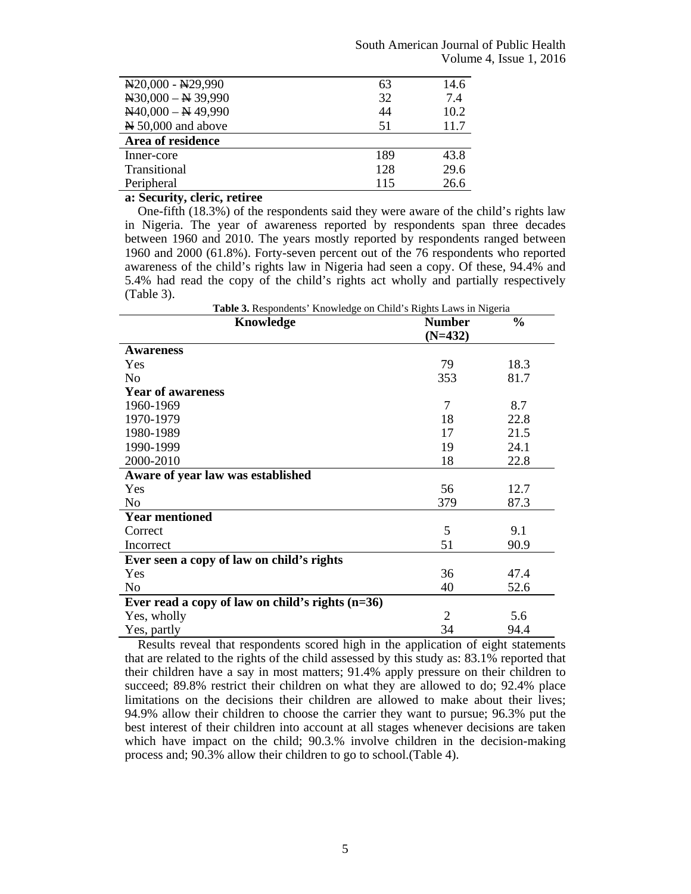| $N20,000 - N29,990$                  | 63  | 14.6 |
|--------------------------------------|-----|------|
| $\text{N}30,000 - \text{N}39,990$    | 32  | 7.4  |
| $N40,000 - N49,990$                  | 44  | 10.2 |
| $\cancel{\text{N}}$ 50,000 and above | 51  | 11.7 |
| Area of residence                    |     |      |
| Inner-core                           | 189 | 43.8 |
| Transitional                         | 128 | 29.6 |
| Peripheral                           | 115 | 26.6 |

# **a: Security, cleric, retiree**

One-fifth (18.3%) of the respondents said they were aware of the child's rights law in Nigeria. The year of awareness reported by respondents span three decades between 1960 and 2010. The years mostly reported by respondents ranged between 1960 and 2000 (61.8%). Forty-seven percent out of the 76 respondents who reported awareness of the child's rights law in Nigeria had seen a copy. Of these, 94.4% and 5.4% had read the copy of the child's rights act wholly and partially respectively (Table 3).

| Table 3. Respondents' Knowledge on Child's Rights Laws in Nigeria |                |               |  |
|-------------------------------------------------------------------|----------------|---------------|--|
| Knowledge                                                         | <b>Number</b>  | $\frac{0}{0}$ |  |
|                                                                   | $(N=432)$      |               |  |
| <b>Awareness</b>                                                  |                |               |  |
| Yes                                                               | 79             | 18.3          |  |
| N <sub>0</sub>                                                    | 353            | 81.7          |  |
| <b>Year of awareness</b>                                          |                |               |  |
| 1960-1969                                                         | 7              | 8.7           |  |
| 1970-1979                                                         | 18             | 22.8          |  |
| 1980-1989                                                         | 17             | 21.5          |  |
| 1990-1999                                                         | 19             | 24.1          |  |
| 2000-2010                                                         | 18             | 22.8          |  |
| Aware of year law was established                                 |                |               |  |
| Yes                                                               | 56             | 12.7          |  |
| N <sub>o</sub>                                                    | 379            | 87.3          |  |
| <b>Year mentioned</b>                                             |                |               |  |
| Correct                                                           | 5              | 9.1           |  |
| Incorrect                                                         | 51             | 90.9          |  |
| Ever seen a copy of law on child's rights                         |                |               |  |
| Yes                                                               | 36             | 47.4          |  |
| No                                                                | 40             | 52.6          |  |
| Ever read a copy of law on child's rights $(n=36)$                |                |               |  |
| Yes, wholly                                                       | $\overline{2}$ | 5.6           |  |
| Yes, partly                                                       | 34             | 94.4          |  |

Results reveal that respondents scored high in the application of eight statements that are related to the rights of the child assessed by this study as: 83.1% reported that their children have a say in most matters; 91.4% apply pressure on their children to succeed; 89.8% restrict their children on what they are allowed to do; 92.4% place limitations on the decisions their children are allowed to make about their lives; 94.9% allow their children to choose the carrier they want to pursue; 96.3% put the best interest of their children into account at all stages whenever decisions are taken which have impact on the child; 90.3.% involve children in the decision-making process and; 90.3% allow their children to go to school.(Table 4).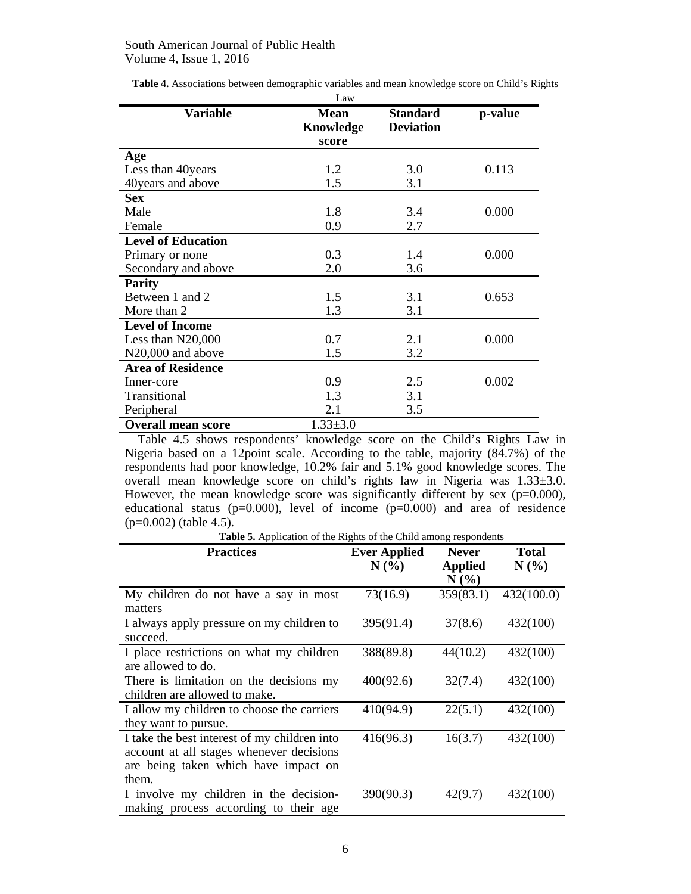|                           | Law                               |                                     |         |
|---------------------------|-----------------------------------|-------------------------------------|---------|
| <b>Variable</b>           | <b>Mean</b><br>Knowledge<br>score | <b>Standard</b><br><b>Deviation</b> | p-value |
| Age                       |                                   |                                     |         |
| Less than 40 years        | 1.2                               | 3.0                                 | 0.113   |
| 40 years and above        | 1.5                               | 3.1                                 |         |
| <b>Sex</b>                |                                   |                                     |         |
| Male                      | 1.8                               | 3.4                                 | 0.000   |
| Female                    | 0.9                               | 2.7                                 |         |
| <b>Level of Education</b> |                                   |                                     |         |
| Primary or none           | 0.3                               | 1.4                                 | 0.000   |
| Secondary and above       | 2.0                               | 3.6                                 |         |
| <b>Parity</b>             |                                   |                                     |         |
| Between 1 and 2           | 1.5                               | 3.1                                 | 0.653   |
| More than 2               | 1.3                               | 3.1                                 |         |
| <b>Level of Income</b>    |                                   |                                     |         |
| Less than N20,000         | 0.7                               | 2.1                                 | 0.000   |
| N20,000 and above         | 1.5                               | 3.2                                 |         |
| <b>Area of Residence</b>  |                                   |                                     |         |
| Inner-core                | 0.9                               | 2.5                                 | 0.002   |
| Transitional              | 1.3                               | 3.1                                 |         |
| Peripheral                | 2.1                               | 3.5                                 |         |
| <b>Overall mean score</b> | $1.33 \pm 3.0$                    |                                     |         |

**Table 4.** Associations between demographic variables and mean knowledge score on Child's Rights

Table 4.5 shows respondents' knowledge score on the Child's Rights Law in Nigeria based on a 12point scale. According to the table, majority (84.7%) of the respondents had poor knowledge, 10.2% fair and 5.1% good knowledge scores. The overall mean knowledge score on child's rights law in Nigeria was 1.33±3.0. However, the mean knowledge score was significantly different by sex  $(p=0.000)$ , educational status  $(p=0.000)$ , level of income  $(p=0.000)$  and area of residence (p=0.002) (table 4.5).

**Table 5.** Application of the Rights of the Child among respondents

| <b>Practices</b>                                                                                                                          | <b>Ever Applied</b> | <b>Never</b>              | <b>Total</b> |
|-------------------------------------------------------------------------------------------------------------------------------------------|---------------------|---------------------------|--------------|
|                                                                                                                                           | N(%                 | <b>Applied</b><br>$N(\%)$ | N(%)         |
| My children do not have a say in most<br>matters                                                                                          | 73(16.9)            | 359(83.1)                 | 432(100.0)   |
| I always apply pressure on my children to<br>succeed.                                                                                     | 395(91.4)           | 37(8.6)                   | 432(100)     |
| I place restrictions on what my children<br>are allowed to do.                                                                            | 388(89.8)           | 44(10.2)                  | 432(100)     |
| There is limitation on the decisions my<br>children are allowed to make.                                                                  | 400(92.6)           | 32(7.4)                   | 432(100)     |
| I allow my children to choose the carriers<br>they want to pursue.                                                                        | 410(94.9)           | 22(5.1)                   | 432(100)     |
| I take the best interest of my children into<br>account at all stages whenever decisions<br>are being taken which have impact on<br>them. | 416(96.3)           | 16(3.7)                   | 432(100)     |
| I involve my children in the decision-<br>making process according to their age                                                           | 390(90.3)           | 42(9.7)                   | 432(100)     |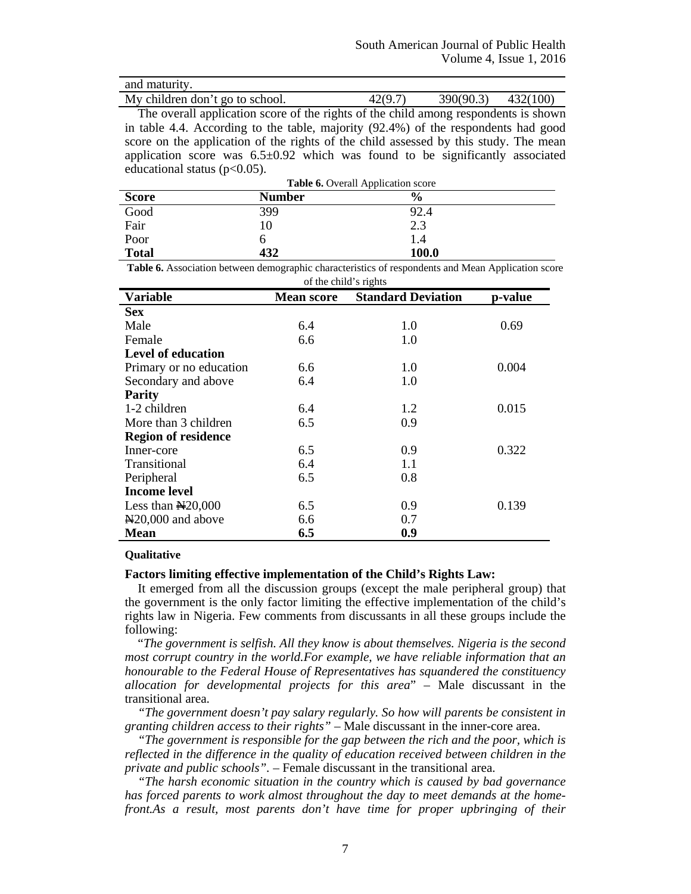| and maturity.                   |         |                        |  |
|---------------------------------|---------|------------------------|--|
| My children don't go to school. | 42(9.7) | $390(90.3)$ $432(100)$ |  |

The overall application score of the rights of the child among respondents is shown in table 4.4. According to the table, majority (92.4%) of the respondents had good score on the application of the rights of the child assessed by this study. The mean application score was  $6.5\pm0.92$  which was found to be significantly associated educational status  $(p<0.05)$ .

| Table 6. Overall Application score |               |               |  |
|------------------------------------|---------------|---------------|--|
| <b>Score</b>                       | <b>Number</b> | $\frac{6}{9}$ |  |
| Good                               | 399           | 92.4          |  |
| Fair                               | 10            | 2.3           |  |
| Poor                               | n             | 1.4           |  |
| <b>Total</b>                       | 432           | 100.0         |  |

**Table 6.** Association between demographic characteristics of respondents and Mean Application score of the child's rights

| OF the child Strights                        |                   |                           |         |  |
|----------------------------------------------|-------------------|---------------------------|---------|--|
| <b>Variable</b>                              | <b>Mean score</b> | <b>Standard Deviation</b> | p-value |  |
| <b>Sex</b>                                   |                   |                           |         |  |
| Male                                         | 6.4               | 1.0                       | 0.69    |  |
| Female                                       | 6.6               | 1.0                       |         |  |
| <b>Level of education</b>                    |                   |                           |         |  |
| Primary or no education                      | 6.6               | 1.0                       | 0.004   |  |
| Secondary and above                          | 6.4               | 1.0                       |         |  |
| <b>Parity</b>                                |                   |                           |         |  |
| 1-2 children                                 | 6.4               | 1.2                       | 0.015   |  |
| More than 3 children                         | 6.5               | 0.9                       |         |  |
| <b>Region of residence</b>                   |                   |                           |         |  |
| Inner-core                                   | 6.5               | 0.9                       | 0.322   |  |
| Transitional                                 | 6.4               | 1.1                       |         |  |
| Peripheral                                   | 6.5               | 0.8                       |         |  |
| <b>Income level</b>                          |                   |                           |         |  |
| Less than $N20,000$                          | 6.5               | 0.9                       | 0.139   |  |
| $\textcolor{blue}{\text{N}}20,000$ and above | 6.6               | 0.7                       |         |  |
| Mean                                         | 6.5               | 0.9                       |         |  |

### **Qualitative**

# **Factors limiting effective implementation of the Child's Rights Law:**

It emerged from all the discussion groups (except the male peripheral group) that the government is the only factor limiting the effective implementation of the child's rights law in Nigeria. Few comments from discussants in all these groups include the following:

"*The government is selfish. All they know is about themselves. Nigeria is the second most corrupt country in the world.For example, we have reliable information that an honourable to the Federal House of Representatives has squandered the constituency allocation for developmental projects for this area*" – Male discussant in the transitional area.

*"The government doesn't pay salary regularly. So how will parents be consistent in granting children access to their rights"* – Male discussant in the inner-core area.

*"The government is responsible for the gap between the rich and the poor, which is reflected in the difference in the quality of education received between children in the private and public schools".* – Female discussant in the transitional area.

*"The harsh economic situation in the country which is caused by bad governance has forced parents to work almost throughout the day to meet demands at the homefront.As a result, most parents don't have time for proper upbringing of their*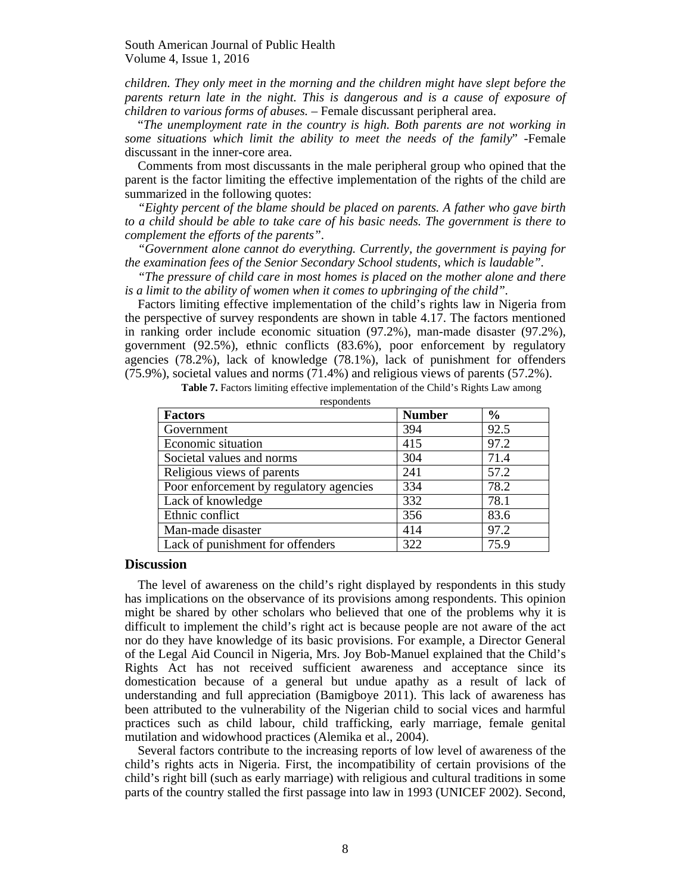*children. They only meet in the morning and the children might have slept before the parents return late in the night. This is dangerous and is a cause of exposure of children to various forms of abuses.* – Female discussant peripheral area.

"*The unemployment rate in the country is high. Both parents are not working in some situations which limit the ability to meet the needs of the family*" -Female discussant in the inner-core area.

Comments from most discussants in the male peripheral group who opined that the parent is the factor limiting the effective implementation of the rights of the child are summarized in the following quotes:

*"Eighty percent of the blame should be placed on parents. A father who gave birth to a child should be able to take care of his basic needs. The government is there to complement the efforts of the parents".* 

*"Government alone cannot do everything. Currently, the government is paying for the examination fees of the Senior Secondary School students, which is laudable".* 

*"The pressure of child care in most homes is placed on the mother alone and there is a limit to the ability of women when it comes to upbringing of the child".* 

Factors limiting effective implementation of the child's rights law in Nigeria from the perspective of survey respondents are shown in table 4.17. The factors mentioned in ranking order include economic situation (97.2%), man-made disaster (97.2%), government (92.5%), ethnic conflicts (83.6%), poor enforcement by regulatory agencies (78.2%), lack of knowledge (78.1%), lack of punishment for offenders (75.9%), societal values and norms (71.4%) and religious views of parents (57.2%).

**Table 7.** Factors limiting effective implementation of the Child's Rights Law among

| respondents                             |               |               |  |
|-----------------------------------------|---------------|---------------|--|
| <b>Factors</b>                          | <b>Number</b> | $\frac{6}{6}$ |  |
| Government                              | 394           | 92.5          |  |
| Economic situation                      | 415           | 97.2          |  |
| Societal values and norms               | 304           | 71.4          |  |
| Religious views of parents              | 241           | 57.2          |  |
| Poor enforcement by regulatory agencies | 334           | 78.2          |  |
| Lack of knowledge                       | 332           | 78.1          |  |
| Ethnic conflict                         | 356           | 83.6          |  |
| Man-made disaster                       | 414           | 97.2          |  |
| Lack of punishment for offenders        | 322           | 75.9          |  |

respondents

### **Discussion**

The level of awareness on the child's right displayed by respondents in this study has implications on the observance of its provisions among respondents. This opinion might be shared by other scholars who believed that one of the problems why it is difficult to implement the child's right act is because people are not aware of the act nor do they have knowledge of its basic provisions. For example, a Director General of the Legal Aid Council in Nigeria, Mrs. Joy Bob-Manuel explained that the Child's Rights Act has not received sufficient awareness and acceptance since its domestication because of a general but undue apathy as a result of lack of understanding and full appreciation (Bamigboye 2011). This lack of awareness has been attributed to the vulnerability of the Nigerian child to social vices and harmful practices such as child labour, child trafficking, early marriage, female genital mutilation and widowhood practices (Alemika et al., 2004).

Several factors contribute to the increasing reports of low level of awareness of the child's rights acts in Nigeria. First, the incompatibility of certain provisions of the child's right bill (such as early marriage) with religious and cultural traditions in some parts of the country stalled the first passage into law in 1993 (UNICEF 2002). Second,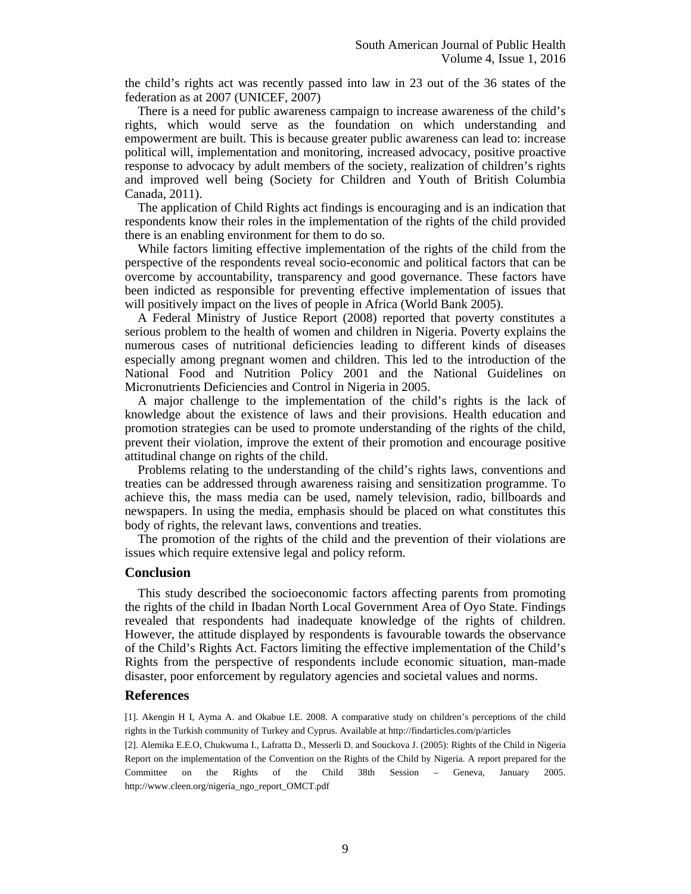the child's rights act was recently passed into law in 23 out of the 36 states of the federation as at 2007 (UNICEF, 2007)

There is a need for public awareness campaign to increase awareness of the child's rights, which would serve as the foundation on which understanding and empowerment are built. This is because greater public awareness can lead to: increase political will, implementation and monitoring, increased advocacy, positive proactive response to advocacy by adult members of the society, realization of children's rights and improved well being (Society for Children and Youth of British Columbia Canada, 2011).

The application of Child Rights act findings is encouraging and is an indication that respondents know their roles in the implementation of the rights of the child provided there is an enabling environment for them to do so.

While factors limiting effective implementation of the rights of the child from the perspective of the respondents reveal socio-economic and political factors that can be overcome by accountability, transparency and good governance. These factors have been indicted as responsible for preventing effective implementation of issues that will positively impact on the lives of people in Africa (World Bank 2005).

A Federal Ministry of Justice Report (2008) reported that poverty constitutes a serious problem to the health of women and children in Nigeria. Poverty explains the numerous cases of nutritional deficiencies leading to different kinds of diseases especially among pregnant women and children. This led to the introduction of the National Food and Nutrition Policy 2001 and the National Guidelines on Micronutrients Deficiencies and Control in Nigeria in 2005.

A major challenge to the implementation of the child's rights is the lack of knowledge about the existence of laws and their provisions. Health education and promotion strategies can be used to promote understanding of the rights of the child, prevent their violation, improve the extent of their promotion and encourage positive attitudinal change on rights of the child.

Problems relating to the understanding of the child's rights laws, conventions and treaties can be addressed through awareness raising and sensitization programme. To achieve this, the mass media can be used, namely television, radio, billboards and newspapers. In using the media, emphasis should be placed on what constitutes this body of rights, the relevant laws, conventions and treaties.

The promotion of the rights of the child and the prevention of their violations are issues which require extensive legal and policy reform.

#### **Conclusion**

This study described the socioeconomic factors affecting parents from promoting the rights of the child in Ibadan North Local Government Area of Oyo State. Findings revealed that respondents had inadequate knowledge of the rights of children. However, the attitude displayed by respondents is favourable towards the observance of the Child's Rights Act. Factors limiting the effective implementation of the Child's Rights from the perspective of respondents include economic situation, man-made disaster, poor enforcement by regulatory agencies and societal values and norms.

# **References**

[1]. Akengin H I, Ayma A. and Okabue I.E. 2008. A comparative study on children's perceptions of the child rights in the Turkish community of Turkey and Cyprus. Available at http://findarticles.com/p/articles

[2]. Alemika E.E.O, Chukwuma I., Lafratta D., Messerli D. and Souckova J. (2005): Rights of the Child in Nigeria Report on the implementation of the Convention on the Rights of the Child by Nigeria. A report prepared for the Committee on the Rights of the Child 38th Session – Geneva, January 2005. http://www.cleen.org/nigeria\_ngo\_report\_OMCT.pdf